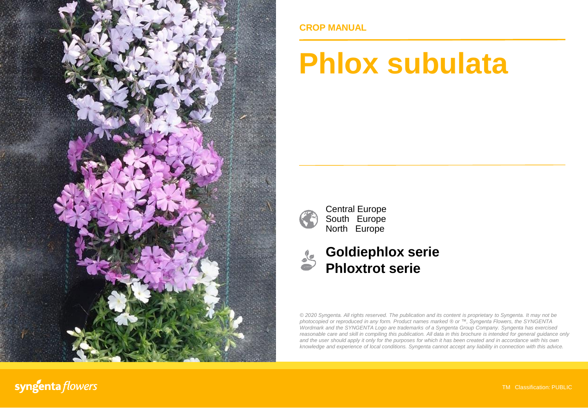

## **CROP MANUAL**

# **Phlox subulata**



Central Europe South Europe North Europe



*© 2020 Syngenta. All rights reserved. The publication and its content is proprietary to Syngenta. It may not be photocopied or reproduced in any form. Product names marked ® or ™, Syngenta Flowers, the SYNGENTA Wordmark and the SYNGENTA Logo are trademarks of a Syngenta Group Company. Syngenta has exercised reasonable care and skill in compiling this publication. All data in this brochure is intended for general guidance only* and the user should apply it only for the purposes for which it has been created and in accordance with his own *knowledge and experience of local conditions. Syngenta cannot accept any liability in connection with this advice.*

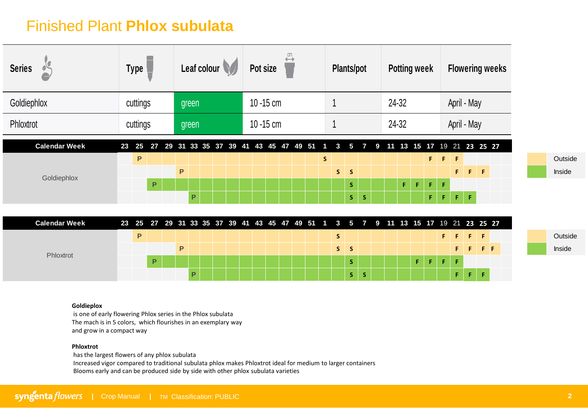# Finished Plant **Phlox subulata**

| <b>Series</b>        |    | <b>Type</b> |    |                                        |                      |       | Leaf colour |             |  | Pot size     |  | $\leftrightarrow$ |                |  |                | Plants/pot     |                         |                |   |  | <b>Potting week</b> |               |    |                           | <b>Flowering weeks</b>     |                |             |                                   |  |  |         |
|----------------------|----|-------------|----|----------------------------------------|----------------------|-------|-------------|-------------|--|--------------|--|-------------------|----------------|--|----------------|----------------|-------------------------|----------------|---|--|---------------------|---------------|----|---------------------------|----------------------------|----------------|-------------|-----------------------------------|--|--|---------|
| Goldiephlox          |    | cuttings    |    |                                        | green                |       |             | 10 $-15$ cm |  |              |  |                   |                |  |                | 24-32          |                         |                |   |  | April - May         |               |    |                           |                            |                |             |                                   |  |  |         |
| Phloxtrot            |    | cuttings    |    |                                        |                      | green |             |             |  | $10 - 15$ cm |  |                   |                |  |                |                |                         |                |   |  | 24-32               |               |    |                           | April - May                |                |             |                                   |  |  |         |
| <b>Calendar Week</b> | 23 | 25          | 27 |                                        | 29 31 33 35 37 39 41 |       |             |             |  |              |  |                   | 43 45 47 49 51 |  | $\overline{1}$ | $\mathbf{3}$   | 5                       | $\overline{7}$ | 9 |  |                     |               |    |                           | 11 13 15 17 19 21 23 25 27 |                |             |                                   |  |  |         |
| Goldiephlox          |    | P           |    |                                        |                      |       |             |             |  |              |  |                   |                |  | S              |                |                         |                |   |  |                     |               |    | $F \parallel F \parallel$ | F                          |                |             |                                   |  |  | Outside |
|                      |    |             |    |                                        | P                    |       |             |             |  |              |  |                   |                |  |                | S              | $\mathsf{S}$            |                |   |  |                     |               |    |                           | F.                         |                | $F$ $F$     |                                   |  |  | Inside  |
|                      |    |             | P  |                                        |                      |       |             |             |  |              |  |                   |                |  |                |                | $\mathsf S$             |                |   |  | $\mathsf F$         | F.            | F. | $\mathsf F$               |                            |                |             |                                   |  |  |         |
|                      |    |             |    |                                        |                      | P     |             |             |  |              |  |                   |                |  |                |                | S.                      | <b>S</b>       |   |  |                     |               | F. | F.                        | F.                         | $\mathsf F$    |             |                                   |  |  |         |
|                      |    |             |    |                                        |                      |       |             |             |  |              |  |                   |                |  |                |                |                         |                |   |  |                     |               |    |                           |                            |                |             |                                   |  |  |         |
| <b>Calendar Week</b> | 23 | 25          |    | 27 29 31 33 35 37 39 41 43 45 47 49 51 |                      |       |             |             |  |              |  |                   |                |  | $\blacksquare$ | $3\phantom{a}$ | $\overline{\mathbf{5}}$ | $\overline{7}$ | 9 |  |                     |               |    |                           | 11 13 15 17 19 21 23 25 27 |                |             |                                   |  |  |         |
|                      |    | $\mathsf P$ |    |                                        |                      |       |             |             |  |              |  |                   |                |  |                | $\mathsf{S}$   |                         |                |   |  |                     |               |    |                           | $F \parallel F$            | F.             | -F          |                                   |  |  | Outside |
| Phloxtrot            |    |             |    |                                        | P                    |       |             |             |  |              |  |                   |                |  |                | S              | $\mathsf{s}$            |                |   |  |                     |               |    |                           | F.                         | $\mathbf{F}$ . |             | $\mathsf{F} \subseteq \mathsf{F}$ |  |  | Inside  |
|                      |    |             | P  |                                        |                      |       |             |             |  |              |  |                   |                |  |                |                | ${\sf S}$               |                |   |  |                     | $\mathsf F$ . | Æ  | $\mathsf F$               | F.                         |                |             |                                   |  |  |         |
|                      |    |             |    |                                        |                      | P     |             |             |  |              |  |                   |                |  |                |                | S.                      | <b>S</b>       |   |  |                     |               |    |                           | F.                         | F.             | $\mathsf F$ |                                   |  |  |         |

**Goldieplox**

is one of early flowering Phlox series in the Phlox subulata The mach is in 5 colors, which flourishes in an exemplary way and grow in a compact way

#### **Phloxtrot**

has the largest flowers of any phlox subulata Increased vigor compared to traditional subulata phlox makes Phloxtrot ideal for medium to larger containers Blooms early and can be produced side by side with other phlox subulata varieties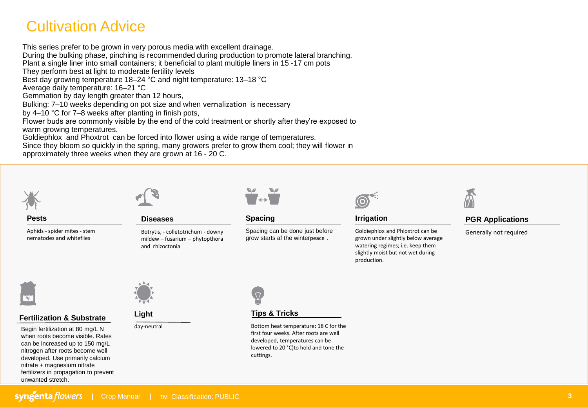# Cultivation Advice

This series prefer to be grown in very porous media with excellent drainage.

During the bulking phase, pinching is recommended during production to promote lateral branching.

Plant a single liner into small containers; it beneficial to plant multiple liners in 15 -17 cm pots

They perform best at light to moderate fertility levels

Best day growing temperature 18–24 °C and night temperature: 13–18 °C

Average daily temperature: 16–21 °C

Gemmation by day length greater than 12 hours,

Bulking: 7–10 weeks depending on pot size and when vernalization is necessary

by 4–10 °C for 7–8 weeks after planting in finish pots,

Flower buds are commonly visible by the end of the cold treatment or shortly after they're exposed to warm growing temperatures.

Goldiephlox and Phoxtrot can be forced into flower using a wide range of temperatures.

Since they bloom so quickly in the spring, many growers prefer to grow them cool; they will flower in approximately three weeks when they are grown at 16 - 20 C.



**Pests**

Aphids - spider mites - stem nematodes and whiteflies



**Diseases**

Botrytis, - colletotrichum - downy mildew – fusarium – phytopthora and rhizoctonia



**Spacing**

Spacing can be done just before grow starts af the winterpeace .



**Irrigation**

Goldiephlox and Phloxtrot can be grown under slightly below average watering regimes; i.e. keep them slightly moist but not wet during production.



#### **PGR Applications**

Generally not required



## **Fertilization & Substrate Light**

Begin fertilization at 80 mg/L N day-neutral when roots become visible. Rates can be increased up to 150 mg/L nitrogen after roots become well developed. Use primarily calcium nitrate + magnesium nitrate fertilizers in propagation to prevent unwanted stretch.





**Tips & Tricks**

Bottom heat temperature**:** 18 C for the first four weeks. After roots are well developed, temperatures can be lowered to 20 °C)to hold and tone the cuttings.